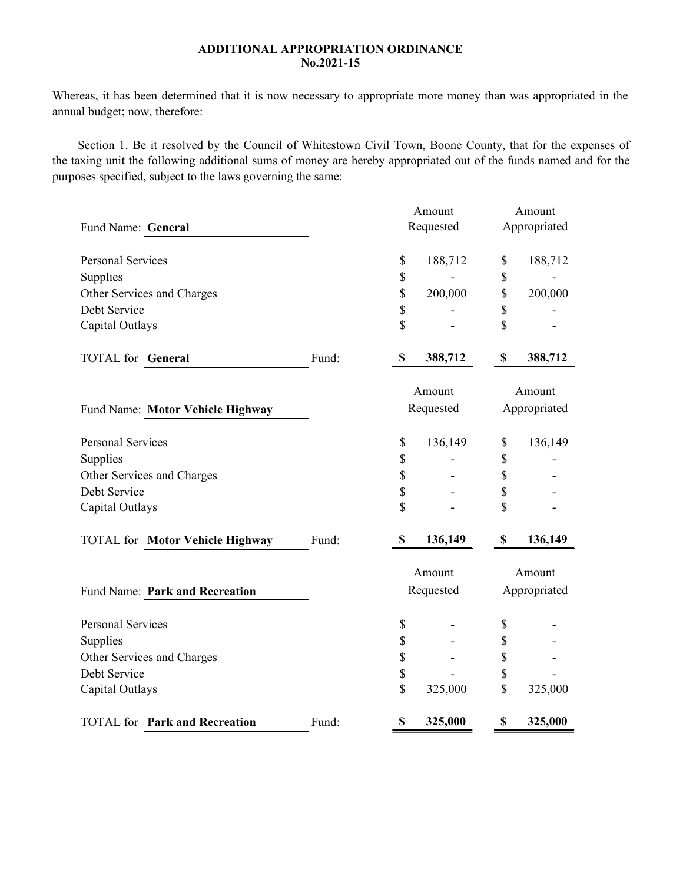## **ADDITIONAL APPROPRIATION ORDINANCE No.2021-15**

Whereas, it has been determined that it is now necessary to appropriate more money than was appropriated in the annual budget; now, therefore:

Section 1. Be it resolved by the Council of Whitestown Civil Town, Boone County, that for the expenses of the taxing unit the following additional sums of money are hereby appropriated out of the funds named and for the purposes specified, subject to the laws governing the same:

|                                        |       | Amount    |           | Amount       |              |  |
|----------------------------------------|-------|-----------|-----------|--------------|--------------|--|
| Fund Name: General                     |       | Requested |           | Appropriated |              |  |
| <b>Personal Services</b>               |       | \$        | 188,712   | \$           | 188,712      |  |
| Supplies                               |       | \$        |           | \$           |              |  |
| Other Services and Charges             |       | \$        | 200,000   | \$           | 200,000      |  |
| Debt Service                           |       | \$        |           | \$           |              |  |
| Capital Outlays                        |       | \$        |           | \$           |              |  |
| <b>TOTAL</b> for <b>General</b>        | Fund: | \$        | 388,712   | \$           | 388,712      |  |
|                                        |       | Amount    |           | Amount       |              |  |
| Fund Name: Motor Vehicle Highway       |       | Requested |           | Appropriated |              |  |
| <b>Personal Services</b>               |       | \$        | 136,149   | \$           | 136,149      |  |
| Supplies                               |       | \$        |           | \$           |              |  |
| Other Services and Charges             |       | \$        |           | \$           |              |  |
| Debt Service                           |       | \$        |           | \$           |              |  |
| Capital Outlays                        |       | \$        |           | \$           |              |  |
| <b>TOTAL for Motor Vehicle Highway</b> | Fund: | \$        | 136,149   | \$           | 136,149      |  |
|                                        |       | Amount    |           | Amount       |              |  |
| Fund Name: Park and Recreation         |       |           | Requested |              | Appropriated |  |
| <b>Personal Services</b>               |       | \$        |           | \$           |              |  |
| Supplies                               |       | \$        |           | \$           |              |  |
| Other Services and Charges             |       | \$        |           | \$           |              |  |
| Debt Service                           |       | \$        |           | \$           |              |  |
| Capital Outlays                        |       | \$        | 325,000   | \$           | 325,000      |  |
| <b>TOTAL</b> for Park and Recreation   | Fund: | \$        | 325,000   | \$           | 325,000      |  |